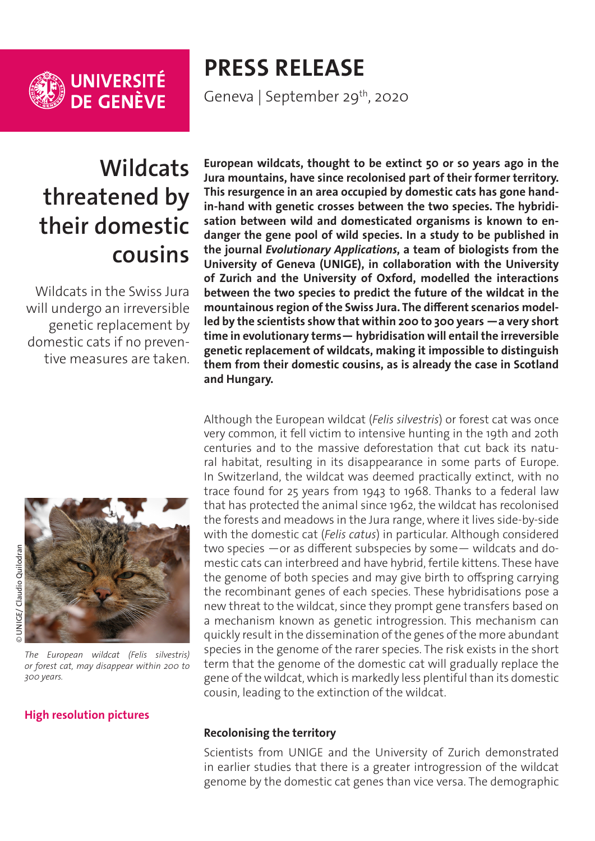

**UNIVERSITÉ<br>DE GENÈVE** 

# **PRESS RELEASE**

Geneva | September 29<sup>th</sup>, 2020

# **Wildcats threatened by their domestic cousins**

Wildcats in the Swiss Jura will undergo an irreversible genetic replacement by domestic cats if no preventive measures are taken.



*The European wildcat (Felis silvestris) or forest cat, may disappear within 200 to 300 years.*

### **[High resolution pictures](https://phototheque.unige.ch/documents/facets?newFacet=subjectFacet%3DCdP_200929_Currat)**

**European wildcats, thought to be extinct 50 or so years ago in the Jura mountains, have since recolonised part of their former territory. This resurgence in an area occupied by domestic cats has gone handin-hand with genetic crosses between the two species. The hybridisation between wild and domesticated organisms is known to endanger the gene pool of wild species. In a study to be published in the journal** *Evolutionary Applications***, a team of biologists from the University of Geneva (UNIGE), in collaboration with the University of Zurich and the University of Oxford, modelled the interactions between the two species to predict the future of the wildcat in the mountainous region of the Swiss Jura. The different scenarios modelled by the scientists show that within 200 to 300 years —a very short time in evolutionary terms— hybridisation will entail the irreversible genetic replacement of wildcats, making it impossible to distinguish them from their domestic cousins, as is already the case in Scotland and Hungary.**

Although the European wildcat (*Felis silvestris*) or forest cat was once very common, it fell victim to intensive hunting in the 19th and 20th centuries and to the massive deforestation that cut back its natural habitat, resulting in its disappearance in some parts of Europe. In Switzerland, the wildcat was deemed practically extinct, with no trace found for 25 years from 1943 to 1968. Thanks to a federal law that has protected the animal since 1962, the wildcat has recolonised the forests and meadows in the Jura range, where it lives side-by-side with the domestic cat (*Felis catus*) in particular. Although considered two species —or as different subspecies by some— wildcats and domestic cats can interbreed and have hybrid, fertile kittens. These have the genome of both species and may give birth to offspring carrying the recombinant genes of each species. These hybridisations pose a new threat to the wildcat, since they prompt gene transfers based on a mechanism known as genetic introgression. This mechanism can quickly result in the dissemination of the genes of the more abundant species in the genome of the rarer species. The risk exists in the short term that the genome of the domestic cat will gradually replace the gene of the wildcat, which is markedly less plentiful than its domestic cousin, leading to the extinction of the wildcat.

#### **Recolonising the territory**

Scientists from UNIGE and the University of Zurich demonstrated in earlier studies that there is a greater introgression of the wildcat genome by the domestic cat genes than vice versa. The demographic